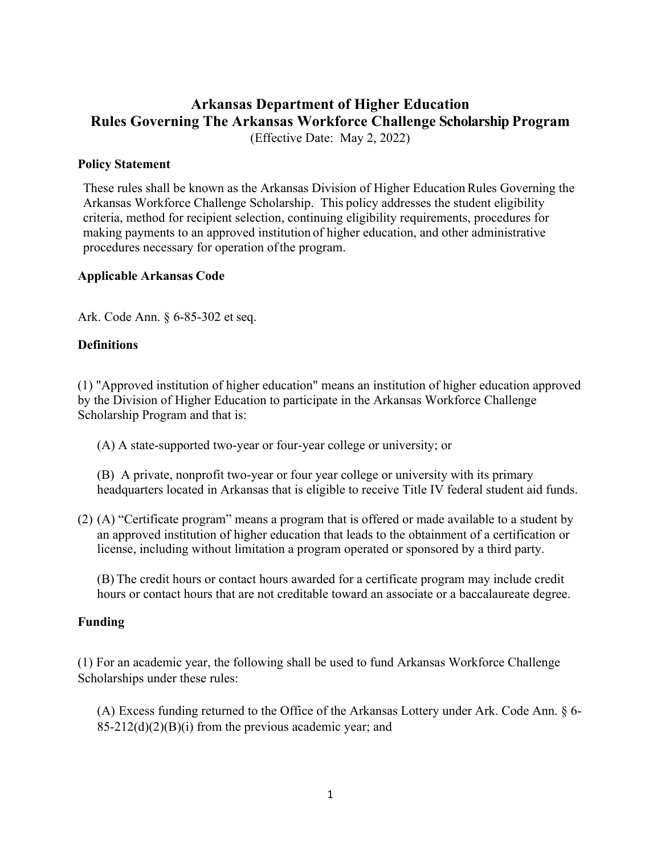# **Arkansas Department of Higher Education Rules Governing The Arkansas Workforce Challenge Scholarship Program** (Effective Date: May 2, 2022)

### **Policy Statement**

These rules shall be known as the Arkansas Division of Higher EducationRules Governing the Arkansas Workforce Challenge Scholarship. This policy addresses the student eligibility criteria, method for recipient selection, continuing eligibility requirements, procedures for making payments to an approved institution of higher education, and other administrative procedures necessary for operation ofthe program.

### **Applicable Arkansas Code**

Ark. Code Ann. § 6-85-302 et seq.

### **Definitions**

(1) "Approved institution of higher education" means an institution of higher education approved by the Division of Higher Education to participate in the Arkansas Workforce Challenge Scholarship Program and that is:

(A) A state-supported two-year or four-year college or university; or

(B) A private, nonprofit two-year or four year college or university with its primary headquarters located in Arkansas that is eligible to receive Title IV federal student aid funds.

(2) (A) "Certificate program" means a program that is offered or made available to a student by an approved institution of higher education that leads to the obtainment of a certification or license, including without limitation a program operated or sponsored by a third party.

(B) The credit hours or contact hours awarded for a certificate program may include credit hours or contact hours that are not creditable toward an associate or a baccalaureate degree.

### **Funding**

(1) For an academic year, the following shall be used to fund Arkansas Workforce Challenge Scholarships under these rules:

(A) Excess funding returned to the Office of the Arkansas Lottery under Ark. Code Ann. § 6-  $85-212(d)(2)(B)(i)$  from the previous academic year; and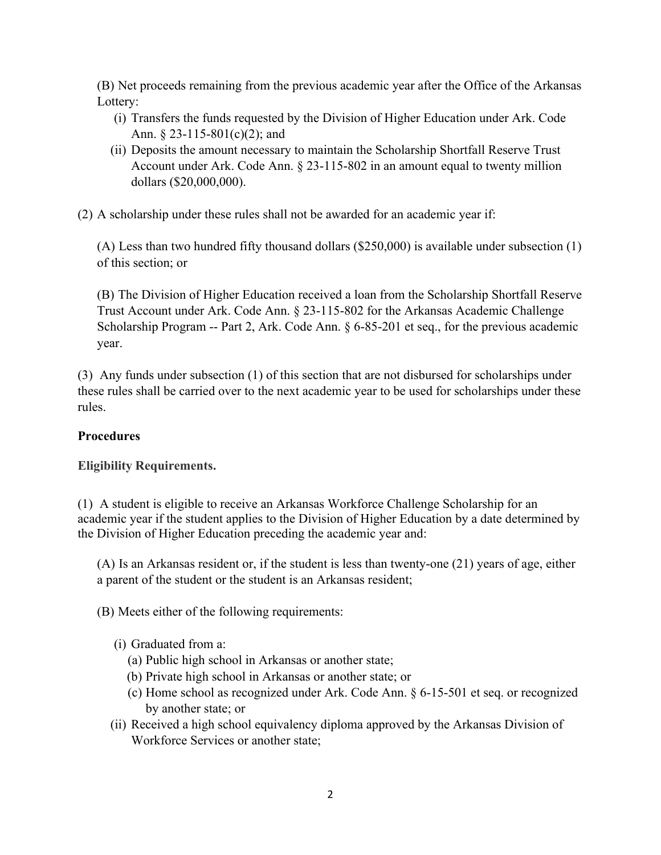(B) Net proceeds remaining from the previous academic year after the Office of the Arkansas Lottery:

- (i) Transfers the funds requested by the Division of Higher Education under Ark. Code Ann. § 23-115-801(c)(2); and
- (ii) Deposits the amount necessary to maintain the Scholarship Shortfall Reserve Trust Account under Ark. Code Ann. § 23-115-802 in an amount equal to twenty million dollars (\$20,000,000).

(2) A scholarship under these rules shall not be awarded for an academic year if:

(A) Less than two hundred fifty thousand dollars (\$250,000) is available under subsection (1) of this section; or

(B) The Division of Higher Education received a loan from the Scholarship Shortfall Reserve Trust Account under Ark. Code Ann. § 23-115-802 for the Arkansas Academic Challenge Scholarship Program -- Part 2, Ark. Code Ann. § 6-85-201 et seq., for the previous academic year.

(3) Any funds under subsection (1) of this section that are not disbursed for scholarships under these rules shall be carried over to the next academic year to be used for scholarships under these rules.

# **Procedures**

# **Eligibility Requirements.**

(1) A student is eligible to receive an Arkansas Workforce Challenge Scholarship for an academic year if the student applies to the Division of Higher Education by a date determined by the Division of Higher Education preceding the academic year and:

(A) Is an Arkansas resident or, if the student is less than twenty-one (21) years of age, either a parent of the student or the student is an Arkansas resident;

(B) Meets either of the following requirements:

- (i) Graduated from a:
	- (a) Public high school in Arkansas or another state;
	- (b) Private high school in Arkansas or another state; or
	- (c) Home school as recognized under Ark. Code Ann. § 6-15-501 et seq. or recognized by another state; or
- (ii) Received a high school equivalency diploma approved by the Arkansas Division of Workforce Services or another state;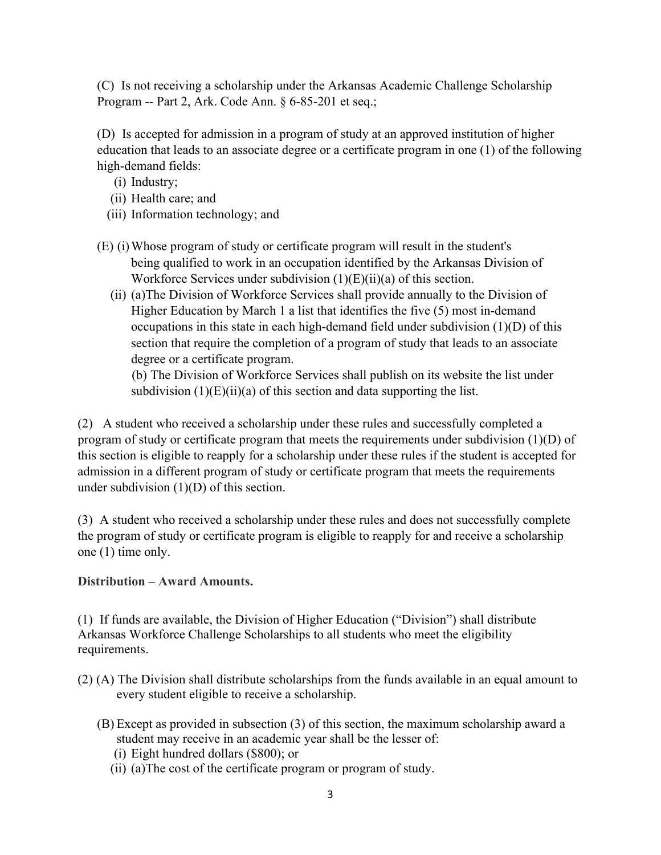(C) Is not receiving a scholarship under the Arkansas Academic Challenge Scholarship Program -- Part 2, Ark. Code Ann. § 6-85-201 et seq.;

(D) Is accepted for admission in a program of study at an approved institution of higher education that leads to an associate degree or a certificate program in one (1) of the following high-demand fields:

- (i) Industry;
- (ii) Health care; and
- (iii) Information technology; and
- (E) (i)Whose program of study or certificate program will result in the student's being qualified to work in an occupation identified by the Arkansas Division of Workforce Services under subdivision  $(1)(E)(ii)(a)$  of this section.
	- (ii) (a)The Division of Workforce Services shall provide annually to the Division of Higher Education by March 1 a list that identifies the five (5) most in-demand occupations in this state in each high-demand field under subdivision (1)(D) of this section that require the completion of a program of study that leads to an associate degree or a certificate program.

(b) The Division of Workforce Services shall publish on its website the list under subdivision  $(1)(E)(ii)(a)$  of this section and data supporting the list.

(2) A student who received a scholarship under these rules and successfully completed a program of study or certificate program that meets the requirements under subdivision (1)(D) of this section is eligible to reapply for a scholarship under these rules if the student is accepted for admission in a different program of study or certificate program that meets the requirements under subdivision (1)(D) of this section.

(3) A student who received a scholarship under these rules and does not successfully complete the program of study or certificate program is eligible to reapply for and receive a scholarship one (1) time only.

**Distribution – Award Amounts.**

(1) If funds are available, the Division of Higher Education ("Division") shall distribute Arkansas Workforce Challenge Scholarships to all students who meet the eligibility requirements.

- (2) (A) The Division shall distribute scholarships from the funds available in an equal amount to every student eligible to receive a scholarship.
	- (B) Except as provided in subsection (3) of this section, the maximum scholarship award a student may receive in an academic year shall be the lesser of:
		- (i) Eight hundred dollars (\$800); or
		- (ii) (a)The cost of the certificate program or program of study.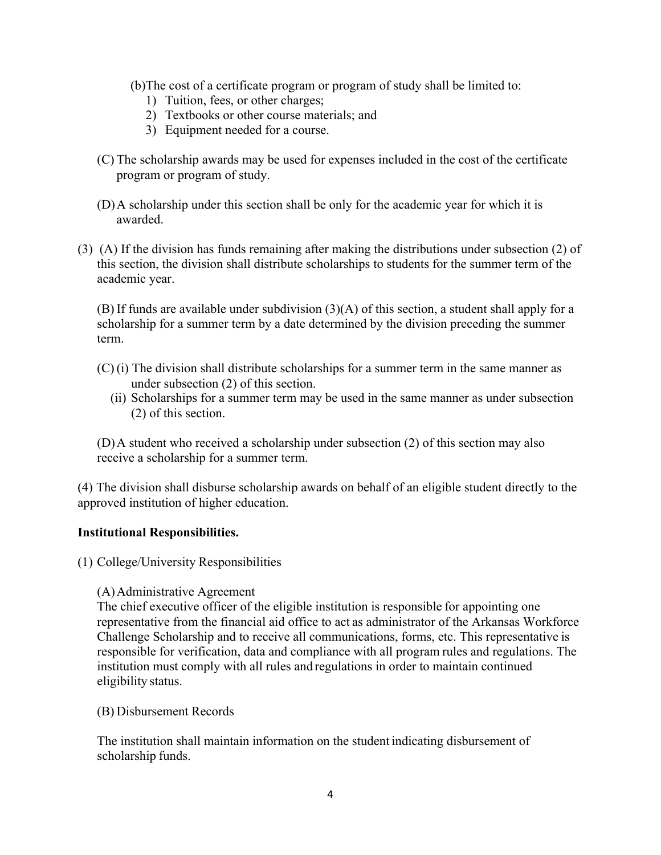- (b)The cost of a certificate program or program of study shall be limited to:
	- 1) Tuition, fees, or other charges;
	- 2) Textbooks or other course materials; and
	- 3) Equipment needed for a course.
- (C) The scholarship awards may be used for expenses included in the cost of the certificate program or program of study.
- (D)A scholarship under this section shall be only for the academic year for which it is awarded.
- (3) (A) If the division has funds remaining after making the distributions under subsection (2) of this section, the division shall distribute scholarships to students for the summer term of the academic year.

(B) If funds are available under subdivision (3)(A) of this section, a student shall apply for a scholarship for a summer term by a date determined by the division preceding the summer term.

- (C) (i) The division shall distribute scholarships for a summer term in the same manner as under subsection (2) of this section.
	- (ii) Scholarships for a summer term may be used in the same manner as under subsection (2) of this section.

(D)A student who received a scholarship under subsection (2) of this section may also receive a scholarship for a summer term.

(4) The division shall disburse scholarship awards on behalf of an eligible student directly to the approved institution of higher education.

## **Institutional Responsibilities.**

(1) College/University Responsibilities

### (A)Administrative Agreement

The chief executive officer of the eligible institution is responsible for appointing one representative from the financial aid office to act as administrator of the Arkansas Workforce Challenge Scholarship and to receive all communications, forms, etc. This representative is responsible for verification, data and compliance with all program rules and regulations. The institution must comply with all rules and regulations in order to maintain continued eligibility status.

### (B) Disbursement Records

The institution shall maintain information on the student indicating disbursement of scholarship funds.